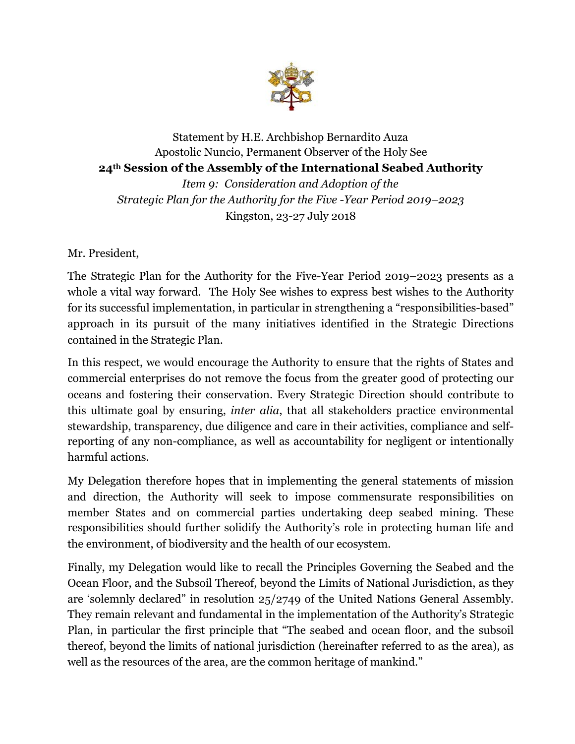

## Statement by H.E. Archbishop Bernardito Auza Apostolic Nuncio, Permanent Observer of the Holy See **24th Session of the Assembly of the International Seabed Authority**  *Item 9: Consideration and Adoption of the Strategic Plan for the Authority for the Five -Year Period 2019–2023*  Kingston, 23-27 July 2018

Mr. President,

The Strategic Plan for the Authority for the Five-Year Period 2019–2023 presents as a whole a vital way forward. The Holy See wishes to express best wishes to the Authority for its successful implementation, in particular in strengthening a "responsibilities-based" approach in its pursuit of the many initiatives identified in the Strategic Directions contained in the Strategic Plan.

In this respect, we would encourage the Authority to ensure that the rights of States and commercial enterprises do not remove the focus from the greater good of protecting our oceans and fostering their conservation. Every Strategic Direction should contribute to this ultimate goal by ensuring, *inter alia*, that all stakeholders practice environmental stewardship, transparency, due diligence and care in their activities, compliance and selfreporting of any non-compliance, as well as accountability for negligent or intentionally harmful actions.

My Delegation therefore hopes that in implementing the general statements of mission and direction, the Authority will seek to impose commensurate responsibilities on member States and on commercial parties undertaking deep seabed mining. These responsibilities should further solidify the Authority's role in protecting human life and the environment, of biodiversity and the health of our ecosystem.

Finally, my Delegation would like to recall the Principles Governing the Seabed and the Ocean Floor, and the Subsoil Thereof, beyond the Limits of National Jurisdiction, as they are 'solemnly declared" in resolution 25/2749 of the United Nations General Assembly. They remain relevant and fundamental in the implementation of the Authority's Strategic Plan, in particular the first principle that "The seabed and ocean floor, and the subsoil thereof, beyond the limits of national jurisdiction (hereinafter referred to as the area), as well as the resources of the area, are the common heritage of mankind."